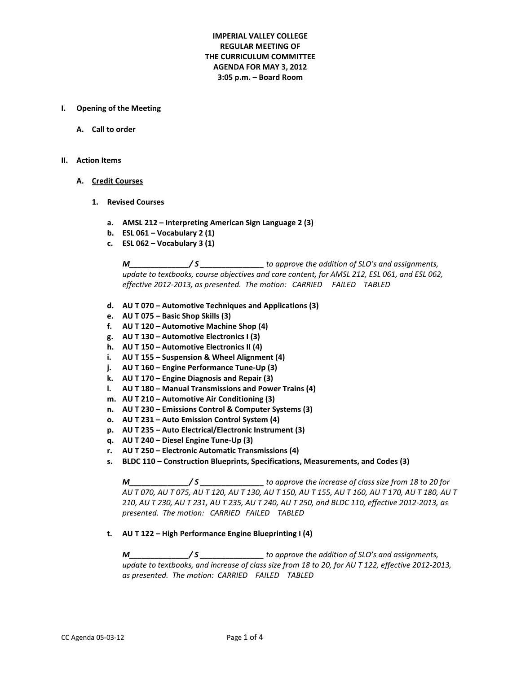# **IMPERIAL VALLEY COLLEGE REGULAR MEETING OF THE CURRICULUM COMMITTEE AGENDA FOR MAY 3, 2012 3:05 p.m. – Board Room**

- **I. Opening of the Meeting**
	- **A. Call to order**

#### **II. Action Items**

- **A. Credit Courses**
	- **1. Revised Courses**
		- **a. AMSL 212 – Interpreting American Sign Language 2 (3)**
		- **b. ESL 061 – Vocabulary 2 (1)**
		- **c. ESL 062 – Vocabulary 3 (1)**

*M\_\_\_\_\_\_\_\_\_\_\_\_\_\_/ S \_\_\_\_\_\_\_\_\_\_\_\_\_\_\_ to approve the addition of SLO's and assignments, update to textbooks, course objectives and core content, for AMSL 212, ESL 061, and ESL 062, effective 2012-2013, as presented. The motion: CARRIED FAILED TABLED*

- **d. AU T 070 – Automotive Techniques and Applications (3)**
- **e. AU T 075 – Basic Shop Skills (3)**
- **f. AU T 120 – Automotive Machine Shop (4)**
- **g. AU T 130 – Automotive Electronics I (3)**
- **h. AU T 150 – Automotive Electronics II (4)**
- **i. AU T 155 – Suspension & Wheel Alignment (4)**
- **j. AU T 160 – Engine Performance Tune-Up (3)**
- **k. AU T 170 – Engine Diagnosis and Repair (3)**
- **l. AU T 180 – Manual Transmissions and Power Trains (4)**
- **m. AU T 210 – Automotive Air Conditioning (3)**
- **n. AU T 230 – Emissions Control & Computer Systems (3)**
- **o. AU T 231 – Auto Emission Control System (4)**
- **p. AU T 235 – Auto Electrical/Electronic Instrument (3)**
- **q. AU T 240 – Diesel Engine Tune-Up (3)**
- **r. AU T 250 – Electronic Automatic Transmissions (4)**
- **s. BLDC 110 – Construction Blueprints, Specifications, Measurements, and Codes (3)**

*M\_\_\_\_\_\_\_\_\_\_\_\_\_\_/ S \_\_\_\_\_\_\_\_\_\_\_\_\_\_\_ to approve the increase of class size from 18 to 20 for AU T 070, AU T 075, AU T 120, AU T 130, AU T 150, AU T 155, AU T 160, AU T 170, AU T 180, AU T 210, AU T 230, AU T 231, AU T 235, AU T 240, AU T 250, and BLDC 110, effective 2012-2013, as presented. The motion: CARRIED FAILED TABLED*

#### **t. AU T 122 – High Performance Engine Blueprinting I (4)**

*M\_\_\_\_\_\_\_\_\_\_\_\_\_\_/ S \_\_\_\_\_\_\_\_\_\_\_\_\_\_\_ to approve the addition of SLO's and assignments, update to textbooks, and increase of class size from 18 to 20, for AU T 122, effective 2012-2013, as presented. The motion: CARRIED FAILED TABLED*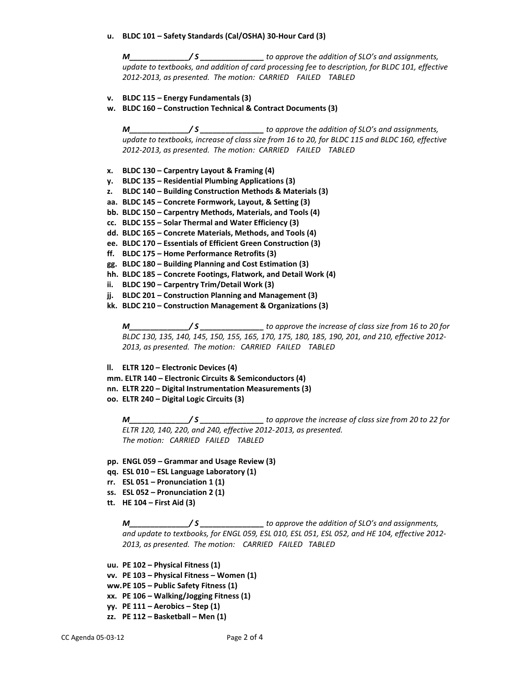#### **u. BLDC 101 – Safety Standards (Cal/OSHA) 30-Hour Card (3)**

*M\_\_\_\_\_\_\_\_\_\_\_\_\_\_/ S \_\_\_\_\_\_\_\_\_\_\_\_\_\_\_ to approve the addition of SLO's and assignments, update to textbooks, and addition of card processing fee to description, for BLDC 101, effective 2012-2013, as presented. The motion: CARRIED FAILED TABLED*

#### **v. BLDC 115 – Energy Fundamentals (3)**

**w. BLDC 160 – Construction Technical & Contract Documents (3)**

*M\_\_\_\_\_\_\_\_\_\_\_\_\_\_/ S \_\_\_\_\_\_\_\_\_\_\_\_\_\_\_ to approve the addition of SLO's and assignments, update to textbooks, increase of class size from 16 to 20, for BLDC 115 and BLDC 160, effective 2012-2013, as presented. The motion: CARRIED FAILED TABLED*

- **x. BLDC 130 – Carpentry Layout & Framing (4)**
- **y. BLDC 135 – Residential Plumbing Applications (3)**
- **z. BLDC 140 – Building Construction Methods & Materials (3)**
- **aa. BLDC 145 – Concrete Formwork, Layout, & Setting (3)**
- **bb. BLDC 150 – Carpentry Methods, Materials, and Tools (4)**
- **cc. BLDC 155 – Solar Thermal and Water Efficiency (3)**
- **dd. BLDC 165 – Concrete Materials, Methods, and Tools (4)**
- **ee. BLDC 170 – Essentials of Efficient Green Construction (3)**
- **ff. BLDC 175 – Home Performance Retrofits (3)**
- **gg. BLDC 180 – Building Planning and Cost Estimation (3)**
- **hh. BLDC 185 – Concrete Footings, Flatwork, and Detail Work (4)**
- **ii. BLDC 190 – Carpentry Trim/Detail Work (3)**
- **jj. BLDC 201 – Construction Planning and Management (3)**
- **kk. BLDC 210 – Construction Management & Organizations (3)**

*M\_\_\_\_\_\_\_\_\_\_\_\_\_\_/ S \_\_\_\_\_\_\_\_\_\_\_\_\_\_\_ to approve the increase of class size from 16 to 20 for BLDC 130, 135, 140, 145, 150, 155, 165, 170, 175, 180, 185, 190, 201, and 210, effective 2012- 2013, as presented. The motion: CARRIED FAILED TABLED*

- **ll. ELTR 120 – Electronic Devices (4)**
- **mm. ELTR 140 – Electronic Circuits & Semiconductors (4)**
- **nn. ELTR 220 – Digital Instrumentation Measurements (3)**
- **oo. ELTR 240 – Digital Logic Circuits (3)**

*M\_\_\_\_\_\_\_\_\_\_\_\_\_\_/ S \_\_\_\_\_\_\_\_\_\_\_\_\_\_\_ to approve the increase of class size from 20 to 22 for ELTR 120, 140, 220, and 240, effective 2012-2013, as presented. The motion: CARRIED FAILED TABLED*

- **pp. ENGL 059 – Grammar and Usage Review (3)**
- **qq. ESL 010 – ESL Language Laboratory (1)**
- **rr. ESL 051 – Pronunciation 1 (1)**
- **ss. ESL 052 – Pronunciation 2 (1)**
- **tt. HE 104 – First Aid (3)**

*M\_\_\_\_\_\_\_\_\_\_\_\_\_\_/ S \_\_\_\_\_\_\_\_\_\_\_\_\_\_\_ to approve the addition of SLO's and assignments, and update to textbooks, for ENGL 059, ESL 010, ESL 051, ESL 052, and HE 104, effective 2012- 2013, as presented. The motion: CARRIED FAILED TABLED*

**uu. PE 102 – Physical Fitness (1)**

- **vv. PE 103 – Physical Fitness – Women (1)**
- **ww.PE 105 – Public Safety Fitness (1)**
- **xx. PE 106 – Walking/Jogging Fitness (1)**
- **yy. PE 111 – Aerobics – Step (1)**
- **zz. PE 112 – Basketball – Men (1)**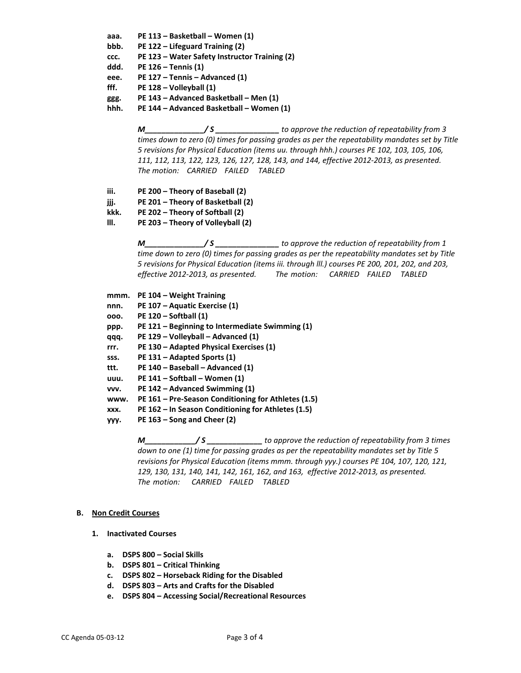- **aaa. PE 113 – Basketball – Women (1)**
- **bbb. PE 122 – Lifeguard Training (2)**
- **ccc. PE 123 – Water Safety Instructor Training (2)**
- **ddd. PE 126 – Tennis (1)**
- **eee. PE 127 – Tennis – Advanced (1)**
- **fff. PE 128 – Volleyball (1)**
- **ggg. PE 143 – Advanced Basketball – Men (1)**
- **hhh. PE 144 – Advanced Basketball – Women (1)**

*M\_\_\_\_\_\_\_\_\_\_\_\_\_\_/ S \_\_\_\_\_\_\_\_\_\_\_\_\_\_\_ to approve the reduction of repeatability from 3 times down to zero (0) times for passing grades as per the repeatability mandates set by Title 5 revisions for Physical Education (items uu. through hhh.) courses PE 102, 103, 105, 106, 111, 112, 113, 122, 123, 126, 127, 128, 143, and 144, effective 2012-2013, as presented. The motion: CARRIED FAILED TABLED*

- **iii. PE 200 – Theory of Baseball (2)**
- **jjj. PE 201 – Theory of Basketball (2)**
- **kkk. PE 202 – Theory of Softball (2)**
- **lll. PE 203 – Theory of Volleyball (2)**

*M\_\_\_\_\_\_\_\_\_\_\_\_\_\_/ S \_\_\_\_\_\_\_\_\_\_\_\_\_\_\_ to approve the reduction of repeatability from 1 time down to zero (0) times for passing grades as per the repeatability mandates set by Title 5 revisions for Physical Education (items iii. through lll.) courses PE 200, 201, 202, and 203, effective 2012-2013, as presented. The motion: CARRIED FAILED TABLED*

- **mmm. PE 104 – Weight Training**
- **nnn. PE 107 – Aquatic Exercise (1)**
- **ooo. PE 120 – Softball (1)**
- **ppp. PE 121 – Beginning to Intermediate Swimming (1)**
- **qqq. PE 129 – Volleyball – Advanced (1)**
- **rrr. PE 130 – Adapted Physical Exercises (1)**
- **sss. PE 131 – Adapted Sports (1)**
- **ttt. PE 140 – Baseball – Advanced (1)**
- **uuu. PE 141 – Softball – Women (1)**
- **vvv. PE 142 – Advanced Swimming (1)**
- **www. PE 161 – Pre-Season Conditioning for Athletes (1.5)**
- **xxx. PE 162 – In Season Conditioning for Athletes (1.5)**
- **yyy. PE 163 – Song and Cheer (2)**

*M\_\_\_\_\_\_\_\_\_\_\_\_/ S \_\_\_\_\_\_\_\_\_\_\_\_\_ to approve the reduction of repeatability from 3 times down to one (1) time for passing grades as per the repeatability mandates set by Title 5 revisions for Physical Education (items mmm. through yyy.) courses PE 104, 107, 120, 121, 129, 130, 131, 140, 141, 142, 161, 162, and 163, effective 2012-2013, as presented. The motion: CARRIED FAILED TABLED*

# **B. Non Credit Courses**

- **1. Inactivated Courses**
	- **a. DSPS 800 – Social Skills**
	- **b. DSPS 801 – Critical Thinking**
	- **c. DSPS 802 – Horseback Riding for the Disabled**
	- **d. DSPS 803 – Arts and Crafts for the Disabled**
	- **e. DSPS 804 – Accessing Social/Recreational Resources**